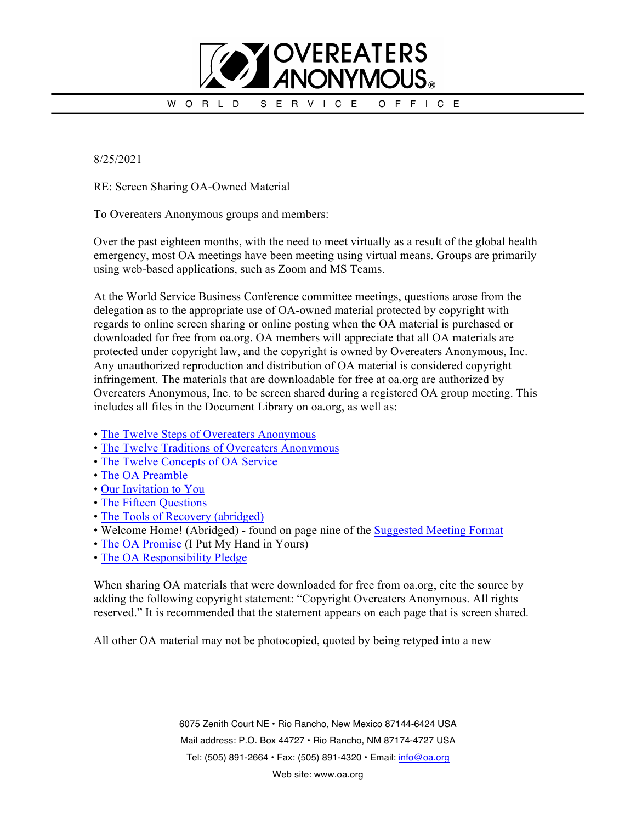

8/25/2021

RE: Screen Sharing OA-Owned Material

To Overeaters Anonymous groups and members:

Over the past eighteen months, with the need to meet virtually as a result of the global health emergency, most OA meetings have been meeting using virtual means. Groups are primarily using web-based applications, such as Zoom and MS Teams.

At the World Service Business Conference committee meetings, questions arose from the delegation as to the appropriate use of OA-owned material protected by copyright with regards to online screen sharing or online posting when the OA material is purchased or downloaded for free from oa.org. OA members will appreciate that all OA materials are protected under copyright law, and the copyright is owned by Overeaters Anonymous, Inc. Any unauthorized reproduction and distribution of OA material is considered copyright infringement. The materials that are downloadable for free at oa.org are authorized by Overeaters Anonymous, Inc. to be screen shared during a registered OA group meeting. This includes all files in the Document Library on oa.org, as well as:

- The Twelve Steps of Overeaters Anonymous
- The Twelve Traditions of Overeaters Anonymous
- The Twelve Concepts of OA Service
- The OA Preamble
- Our Invitation to You
- The Fifteen Questions
- The Tools of Recovery (abridged)
- Welcome Home! (Abridged) found on page nine of the Suggested Meeting Format
- The OA Promise (I Put My Hand in Yours)
- The OA Responsibility Pledge

When sharing OA materials that were downloaded for free from oa.org, cite the source by adding the following copyright statement: "Copyright Overeaters Anonymous. All rights reserved." It is recommended that the statement appears on each page that is screen shared.

All other OA material may not be photocopied, quoted by being retyped into a new

6075 Zenith Court NE • Rio Rancho, New Mexico 87144-6424 USA Mail address: P.O. Box 44727 • Rio Rancho, NM 87174-4727 USA Tel: (505) 891-2664 • Fax: (505) 891-4320 • Email: info@oa.org